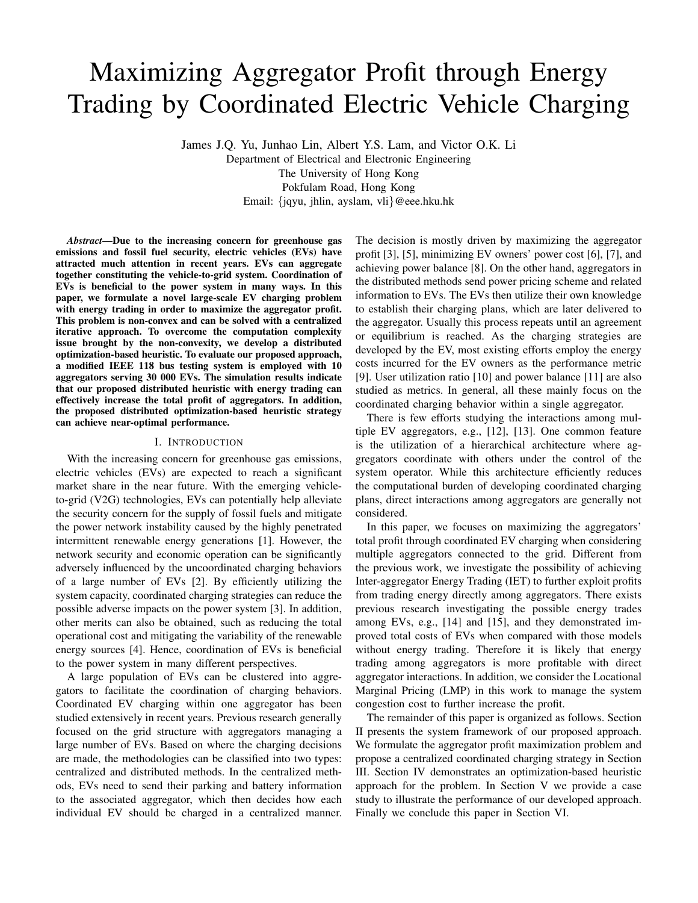# Maximizing Aggregator Profit through Energy Trading by Coordinated Electric Vehicle Charging

James J.Q. Yu, Junhao Lin, Albert Y.S. Lam, and Victor O.K. Li Department of Electrical and Electronic Engineering The University of Hong Kong Pokfulam Road, Hong Kong Email: {jqyu, jhlin, ayslam, vli}@eee.hku.hk

*Abstract*—Due to the increasing concern for greenhouse gas emissions and fossil fuel security, electric vehicles (EVs) have attracted much attention in recent years. EVs can aggregate together constituting the vehicle-to-grid system. Coordination of EVs is beneficial to the power system in many ways. In this paper, we formulate a novel large-scale EV charging problem with energy trading in order to maximize the aggregator profit. This problem is non-convex and can be solved with a centralized iterative approach. To overcome the computation complexity issue brought by the non-convexity, we develop a distributed optimization-based heuristic. To evaluate our proposed approach, a modified IEEE 118 bus testing system is employed with 10 aggregators serving 30 000 EVs. The simulation results indicate that our proposed distributed heuristic with energy trading can effectively increase the total profit of aggregators. In addition, the proposed distributed optimization-based heuristic strategy can achieve near-optimal performance.

#### I. INTRODUCTION

With the increasing concern for greenhouse gas emissions, electric vehicles (EVs) are expected to reach a significant market share in the near future. With the emerging vehicleto-grid (V2G) technologies, EVs can potentially help alleviate the security concern for the supply of fossil fuels and mitigate the power network instability caused by the highly penetrated intermittent renewable energy generations [1]. However, the network security and economic operation can be significantly adversely influenced by the uncoordinated charging behaviors of a large number of EVs [2]. By efficiently utilizing the system capacity, coordinated charging strategies can reduce the possible adverse impacts on the power system [3]. In addition, other merits can also be obtained, such as reducing the total operational cost and mitigating the variability of the renewable energy sources [4]. Hence, coordination of EVs is beneficial to the power system in many different perspectives.

A large population of EVs can be clustered into aggregators to facilitate the coordination of charging behaviors. Coordinated EV charging within one aggregator has been studied extensively in recent years. Previous research generally focused on the grid structure with aggregators managing a large number of EVs. Based on where the charging decisions are made, the methodologies can be classified into two types: centralized and distributed methods. In the centralized methods, EVs need to send their parking and battery information to the associated aggregator, which then decides how each individual EV should be charged in a centralized manner.

The decision is mostly driven by maximizing the aggregator profit [3], [5], minimizing EV owners' power cost [6], [7], and achieving power balance [8]. On the other hand, aggregators in the distributed methods send power pricing scheme and related information to EVs. The EVs then utilize their own knowledge to establish their charging plans, which are later delivered to the aggregator. Usually this process repeats until an agreement or equilibrium is reached. As the charging strategies are developed by the EV, most existing efforts employ the energy costs incurred for the EV owners as the performance metric [9]. User utilization ratio [10] and power balance [11] are also studied as metrics. In general, all these mainly focus on the coordinated charging behavior within a single aggregator.

There is few efforts studying the interactions among multiple EV aggregators, e.g., [12], [13]. One common feature is the utilization of a hierarchical architecture where aggregators coordinate with others under the control of the system operator. While this architecture efficiently reduces the computational burden of developing coordinated charging plans, direct interactions among aggregators are generally not considered.

In this paper, we focuses on maximizing the aggregators' total profit through coordinated EV charging when considering multiple aggregators connected to the grid. Different from the previous work, we investigate the possibility of achieving Inter-aggregator Energy Trading (IET) to further exploit profits from trading energy directly among aggregators. There exists previous research investigating the possible energy trades among EVs, e.g., [14] and [15], and they demonstrated improved total costs of EVs when compared with those models without energy trading. Therefore it is likely that energy trading among aggregators is more profitable with direct aggregator interactions. In addition, we consider the Locational Marginal Pricing (LMP) in this work to manage the system congestion cost to further increase the profit.

The remainder of this paper is organized as follows. Section II presents the system framework of our proposed approach. We formulate the aggregator profit maximization problem and propose a centralized coordinated charging strategy in Section III. Section IV demonstrates an optimization-based heuristic approach for the problem. In Section V we provide a case study to illustrate the performance of our developed approach. Finally we conclude this paper in Section VI.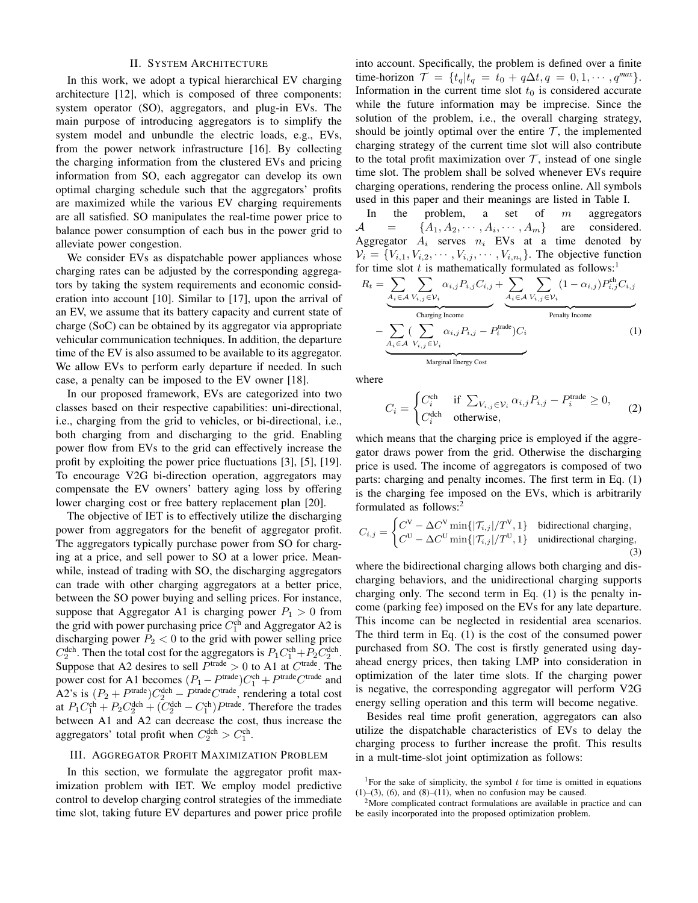## II. SYSTEM ARCHITECTURE

In this work, we adopt a typical hierarchical EV charging architecture [12], which is composed of three components: system operator (SO), aggregators, and plug-in EVs. The main purpose of introducing aggregators is to simplify the system model and unbundle the electric loads, e.g., EVs, from the power network infrastructure [16]. By collecting the charging information from the clustered EVs and pricing information from SO, each aggregator can develop its own optimal charging schedule such that the aggregators' profits are maximized while the various EV charging requirements are all satisfied. SO manipulates the real-time power price to balance power consumption of each bus in the power grid to alleviate power congestion.

We consider EVs as dispatchable power appliances whose charging rates can be adjusted by the corresponding aggregators by taking the system requirements and economic consideration into account [10]. Similar to [17], upon the arrival of an EV, we assume that its battery capacity and current state of charge (SoC) can be obtained by its aggregator via appropriate vehicular communication techniques. In addition, the departure time of the EV is also assumed to be available to its aggregator. We allow EVs to perform early departure if needed. In such case, a penalty can be imposed to the EV owner [18].

In our proposed framework, EVs are categorized into two classes based on their respective capabilities: uni-directional, i.e., charging from the grid to vehicles, or bi-directional, i.e., both charging from and discharging to the grid. Enabling power flow from EVs to the grid can effectively increase the profit by exploiting the power price fluctuations [3], [5], [19]. To encourage V2G bi-direction operation, aggregators may compensate the EV owners' battery aging loss by offering lower charging cost or free battery replacement plan [20].

The objective of IET is to effectively utilize the discharging power from aggregators for the benefit of aggregator profit. The aggregators typically purchase power from SO for charging at a price, and sell power to SO at a lower price. Meanwhile, instead of trading with SO, the discharging aggregators can trade with other charging aggregators at a better price, between the SO power buying and selling prices. For instance, suppose that Aggregator A1 is charging power  $P_1 > 0$  from the grid with power purchasing price  $C_1^{\text{ch}}$  and Aggregator A2 is discharging power  $P_2 < 0$  to the grid with power selling price  $C_2^{\text{dch}}$ . Then the total cost for the aggregators is  $P_1 C_1^{\text{ch}} + P_2 C_2^{\text{dch}}$ . Suppose that A2 desires to sell  $P<sup>trade</sup> > 0$  to A1 at  $C<sup>trade</sup>$ . The power cost for A1 becomes  $(P_1 - P^{\text{trade}})C_1^{\text{ch}} + P^{\text{trade}}C^{\text{trade}}$  and A2's is  $(P_2 + P^{\text{trade}})C_2^{\text{dch}} - P^{\text{trade}}C^{\text{trade}}$ , rendering a total cost at  $P_1 C_1^{\text{ch}} + P_2 C_2^{\text{dch}} + (C_2^{\text{dch}} - C_1^{\text{ch}}) P^{\text{trade}}$ . Therefore the trades between A1 and A2 can decrease the cost, thus increase the aggregators' total profit when  $C_2^{\text{dch}} > C_1^{\text{ch}}$ .

#### III. AGGREGATOR PROFIT MAXIMIZATION PROBLEM

In this section, we formulate the aggregator profit maximization problem with IET. We employ model predictive control to develop charging control strategies of the immediate time slot, taking future EV departures and power price profile into account. Specifically, the problem is defined over a finite time-horizon  $\mathcal{T} = \{t_q | t_q = t_0 + q\Delta t, q = 0, 1, \cdots, q^{max}\}.$ Information in the current time slot  $t_0$  is considered accurate while the future information may be imprecise. Since the solution of the problem, i.e., the overall charging strategy, should be jointly optimal over the entire  $\mathcal{T}$ , the implemented charging strategy of the current time slot will also contribute to the total profit maximization over  $\mathcal{T}$ , instead of one single time slot. The problem shall be solved whenever EVs require charging operations, rendering the process online. All symbols used in this paper and their meanings are listed in Table I.

In the problem, a set of  $m$  aggregators  $A = \{A_1, A_2, \cdots, A_i, \cdots, A_m\}$  are considered. Aggregator  $A_i$  serves  $n_i$  EVs at a time denoted by  $V_i = \{V_{i,1}, V_{i,2}, \cdots, V_{i,j}, \cdots, V_{i,n_i}\}.$  The objective function for time slot  $t$  is mathematically formulated as follows:<sup>1</sup>

$$
R_{t} = \underbrace{\sum_{A_{i} \in \mathcal{A}} \sum_{V_{i,j} \in \mathcal{V}_{i}} \alpha_{i,j} P_{i,j} C_{i,j}}_{\text{Charging Income}} + \underbrace{\sum_{A_{i} \in \mathcal{A}} \sum_{V_{i,j} \in \mathcal{V}_{i}} (1 - \alpha_{i,j}) P_{i,j}^{\text{ch}} C_{i,j}}_{\text{Penalty Income}} - \underbrace{\sum_{A_{i} \in \mathcal{A}} (\sum_{V_{i,j} \in \mathcal{V}_{i}} \alpha_{i,j} P_{i,j} - P_{i}^{\text{trade}}) C_{i}}_{\text{Marginal Energy Cost}}
$$
\n(1)

where

$$
C_i = \begin{cases} C_i^{\text{ch}} & \text{if } \sum_{V_{i,j} \in \mathcal{V}_i} \alpha_{i,j} P_{i,j} - P_i^{\text{trade}} \ge 0, \\ C_i^{\text{deh}} & \text{otherwise,} \end{cases}
$$
 (2)

which means that the charging price is employed if the aggregator draws power from the grid. Otherwise the discharging price is used. The income of aggregators is composed of two parts: charging and penalty incomes. The first term in Eq. (1) is the charging fee imposed on the EVs, which is arbitrarily formulated as follows:<sup>2</sup>

$$
C_{i,j} = \begin{cases} C^V - \Delta C^V \min\{|\mathcal{T}_{i,j}|/T^V, 1\} & \text{bidirectional charging,} \\ C^U - \Delta C^U \min\{|\mathcal{T}_{i,j}|/T^U, 1\} & \text{unidirectional charging,} \end{cases}
$$
(3)

where the bidirectional charging allows both charging and discharging behaviors, and the unidirectional charging supports charging only. The second term in Eq. (1) is the penalty income (parking fee) imposed on the EVs for any late departure. This income can be neglected in residential area scenarios. The third term in Eq. (1) is the cost of the consumed power purchased from SO. The cost is firstly generated using dayahead energy prices, then taking LMP into consideration in optimization of the later time slots. If the charging power is negative, the corresponding aggregator will perform V2G energy selling operation and this term will become negative.

Besides real time profit generation, aggregators can also utilize the dispatchable characteristics of EVs to delay the charging process to further increase the profit. This results in a mult-time-slot joint optimization as follows:

<sup>&</sup>lt;sup>1</sup>For the sake of simplicity, the symbol  $t$  for time is omitted in equations  $(1)$ – $(3)$ ,  $(6)$ , and  $(8)$ – $(11)$ , when no confusion may be caused.

<sup>&</sup>lt;sup>2</sup>More complicated contract formulations are available in practice and can be easily incorporated into the proposed optimization problem.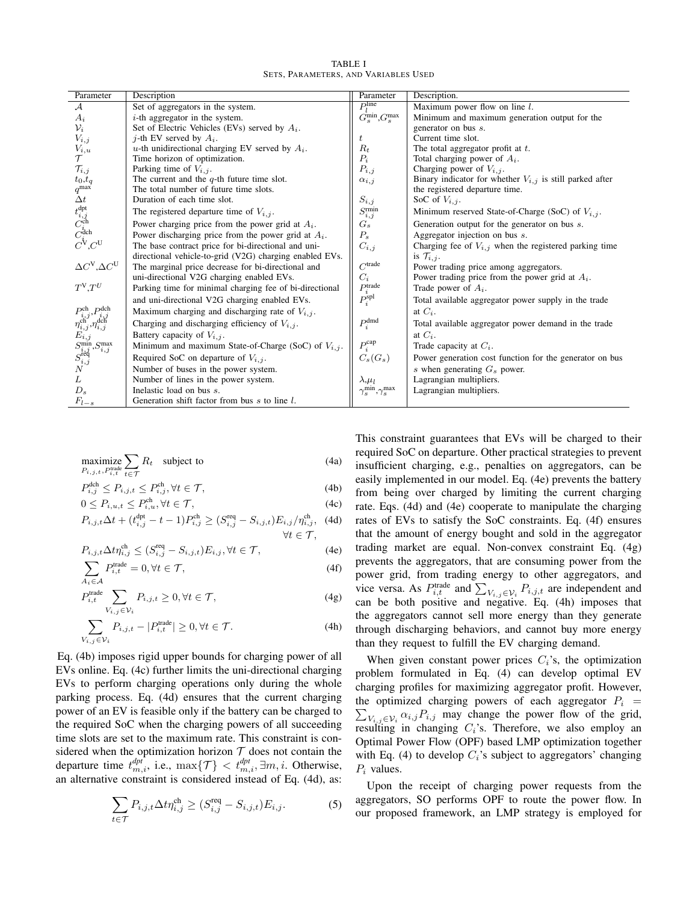| <b>TABLE I</b>                       |  |  |  |  |  |
|--------------------------------------|--|--|--|--|--|
| SETS, PARAMETERS, AND VARIABLES USED |  |  |  |  |  |

| Parameter                                                                                                                                                                                                 | Description                                              | Parameter                                  | Description.                                                 |  |
|-----------------------------------------------------------------------------------------------------------------------------------------------------------------------------------------------------------|----------------------------------------------------------|--------------------------------------------|--------------------------------------------------------------|--|
| $\mathcal{A}$                                                                                                                                                                                             | Set of aggregators in the system.                        | $Pi$ line                                  | Maximum power flow on line $l$ .                             |  |
| $A_i$                                                                                                                                                                                                     | $i$ -th aggregator in the system.                        | $G_s^{\min}$ , $G_s^{\max}$                | Minimum and maximum generation output for the                |  |
| $\mathcal{V}_i$                                                                                                                                                                                           | Set of Electric Vehicles (EVs) served by $A_i$ .         |                                            | generator on bus s.                                          |  |
| $V_{i,j}$                                                                                                                                                                                                 | <i>j</i> -th EV served by $A_i$ .                        | t                                          | Current time slot.                                           |  |
| $V_{i,u}$                                                                                                                                                                                                 | u-th unidirectional charging EV served by $A_i$ .        | $R_t$                                      | The total aggregator profit at $t$ .                         |  |
|                                                                                                                                                                                                           | Time horizon of optimization.                            | $P_i$                                      | Total charging power of $A_i$ .                              |  |
| $\mathcal{T}_{i,j}$                                                                                                                                                                                       | Parking time of $V_{i,j}$ .                              | $P_{i,j}$                                  | Charging power of $V_{i,j}$ .                                |  |
| $t_0,t_q$                                                                                                                                                                                                 | The current and the $q$ -th future time slot.            | $\alpha_{i,j}$                             | Binary indicator for whether $V_{i,j}$ is still parked after |  |
| $q^{\max}$                                                                                                                                                                                                | The total number of future time slots.                   |                                            | the registered departure time.                               |  |
| $\Delta t$                                                                                                                                                                                                | Duration of each time slot.                              | $S_{i,j}$                                  | SoC of $V_{i,j}$ .                                           |  |
| $\overline{t^{\text{dpt}}_{i,j}} \overline{C^{\text{ch}}_{i} \overline{C^{\text{dch}}_{i} \overline{C^{\text{d}}_{i} \overline{C^{\text{d}}_{i} \overline{C^{\text{d}}_{i} \overline{C^{\text{d}}_{i}}}}$ | The registered departure time of $V_{i,j}$ .             | $S^{\rm rmin}_{i,j}$                       | Minimum reserved State-of-Charge (SoC) of $V_{i,j}$ .        |  |
|                                                                                                                                                                                                           | Power charging price from the power grid at $A_i$ .      | $G_s$                                      | Generation output for the generator on bus s.                |  |
|                                                                                                                                                                                                           | Power discharging price from the power grid at $A_i$ .   | $P_{s}$                                    | Aggregator injection on bus s.                               |  |
|                                                                                                                                                                                                           | The base contract price for bi-directional and uni-      | $C_{i,j}$                                  | Charging fee of $V_{i,j}$ when the registered parking time   |  |
|                                                                                                                                                                                                           | directional vehicle-to-grid (V2G) charging enabled EVs.  |                                            | is $\mathcal{T}_{i,j}$ .                                     |  |
| $\Delta C^{\rm V}, \Delta C^{\rm U}$                                                                                                                                                                      | The marginal price decrease for bi-directional and       | $C$ trade                                  | Power trading price among aggregators.                       |  |
|                                                                                                                                                                                                           | uni-directional V2G charging enabled EVs.                | $C_i$                                      | Power trading price from the power grid at $A_i$ .           |  |
| $T^V,T^U$                                                                                                                                                                                                 | Parking time for minimal charging fee of bi-directional  | $P_i^{\text{trade}}$                       | Trade power of $A_i$ .                                       |  |
|                                                                                                                                                                                                           | and uni-directional V2G charging enabled EVs.            | $P_i^{\rm spl}$                            | Total available aggregator power supply in the trade         |  |
| $Pch$ $Pdch$                                                                                                                                                                                              | Maximum charging and discharging rate of $V_{i,j}$ .     |                                            | at $C_i$ .                                                   |  |
| $r_{i,j}^{i,j}, r_{i,j}^{i,j}$<br>$\eta_{i,j}^{\text{ch}}, \eta_{i,j}^{\text{dch}}$                                                                                                                       | Charging and discharging efficiency of $V_{i,j}$ .       | $P_i^{\text{dmd}}$                         | Total available aggregator power demand in the trade         |  |
| $E_{i,j}$                                                                                                                                                                                                 | Battery capacity of $V_{i,j}$ .                          |                                            | at $C_i$ .                                                   |  |
|                                                                                                                                                                                                           | Minimum and maximum State-of-Charge (SoC) of $V_{i,j}$ . | $P_i^{\text{cap}}$                         | Trade capacity at $C_i$ .                                    |  |
| $S_{i,j}^{\min}, S_{i,j}^{\max}$<br>$S_{i,j}^{\text{req}}$                                                                                                                                                | Required SoC on departure of $V_{i,j}$ .                 | $C_s(G_s)$                                 | Power generation cost function for the generator on bus      |  |
| N                                                                                                                                                                                                         | Number of buses in the power system.                     |                                            | s when generating $G_s$ power.                               |  |
| L                                                                                                                                                                                                         | Number of lines in the power system.                     | $\lambda, \mu_l$                           | Lagrangian multipliers.                                      |  |
| $D_s$                                                                                                                                                                                                     | Inelastic load on bus s.                                 | $\gamma_s^\text{min}, \gamma_s^\text{max}$ | Lagrangian multipliers.                                      |  |
| $F_{l-s}$                                                                                                                                                                                                 | Generation shift factor from bus $s$ to line $l$ .       |                                            |                                                              |  |

$$
\underset{P_{i,j,t}, P_{i,t}^{\text{trade}}}{\text{maximize}} \sum_{t \in \mathcal{T}} R_t \quad \text{subject to} \tag{4a}
$$

$$
P_{i,j}^{\text{def}} \le P_{i,j,t} \le P_{i,j}^{\text{ch}}, \forall t \in \mathcal{T},\tag{4b}
$$
\n
$$
P_{i,j} \le P_{i,j,t}^{\text{ch}} \le P_{i,j}^{\text{ch}} \le P_{i,j,t}^{\text{ch}} \tag{4c}
$$

$$
0 \le P_{i,u,t} \le P_{i,u}^{\text{cn}}, \forall t \in \mathcal{T}, \tag{4c}
$$
  
\n
$$
P_{i,j,t} \Delta t + (t_{i,j}^{\text{dpt}} - t - 1) P_{i,j}^{\text{ch}} \ge (S_{i,j}^{\text{req}} - S_{i,j,t}) E_{i,j} / \eta_{i,j}^{\text{ch}}, \tag{4d}
$$
  
\n
$$
\forall t \in \mathcal{T},
$$

$$
P_{i,j,t} \Delta t \eta_{i,j}^{\text{ch}} \le (S_{i,j}^{\text{req}} - S_{i,j,t}) E_{i,j}, \forall t \in \mathcal{T},
$$
\n(4e)

$$
\sum_{A_i \in \mathcal{A}} P_{i,t}^{\text{trade}} = 0, \forall t \in \mathcal{T}, \tag{4f}
$$

$$
P_{i,t}^{\text{trade}} \sum_{V_{i,j} \in \mathcal{V}_i} P_{i,j,t} \ge 0, \forall t \in \mathcal{T}, \tag{4g}
$$

$$
\sum_{V_{i,j}\in\mathcal{V}_i} P_{i,j,t} - |P_{i,t}^{\text{trade}}| \ge 0, \forall t \in \mathcal{T}.\tag{4h}
$$

Eq. (4b) imposes rigid upper bounds for charging power of all EVs online. Eq. (4c) further limits the uni-directional charging EVs to perform charging operations only during the whole parking process. Eq. (4d) ensures that the current charging power of an EV is feasible only if the battery can be charged to the required SoC when the charging powers of all succeeding time slots are set to the maximum rate. This constraint is considered when the optimization horizon  $T$  does not contain the departure time  $t_{m,i}^{dpt}$ , i.e.,  $\max\{\mathcal{T}\} < t_{m,i}^{dpt}, \exists m,i$ . Otherwise, an alternative constraint is considered instead of Eq. (4d), as:

$$
\sum_{t \in \mathcal{T}} P_{i,j,t} \Delta t \eta_{i,j}^{\text{ch}} \ge (S_{i,j}^{\text{req}} - S_{i,j,t}) E_{i,j}.
$$
 (5)

This constraint guarantees that EVs will be charged to their required SoC on departure. Other practical strategies to prevent insufficient charging, e.g., penalties on aggregators, can be easily implemented in our model. Eq. (4e) prevents the battery from being over charged by limiting the current charging rate. Eqs. (4d) and (4e) cooperate to manipulate the charging rates of EVs to satisfy the SoC constraints. Eq. (4f) ensures that the amount of energy bought and sold in the aggregator trading market are equal. Non-convex constraint Eq. (4g) prevents the aggregators, that are consuming power from the power grid, from trading energy to other aggregators, and vice versa. As  $P_{i,t}^{\text{trade}}$  and  $\sum_{V_{i,j} \in \mathcal{V}_i} P_{i,j,t}$  are independent and can be both positive and negative. Eq. (4h) imposes that the aggregators cannot sell more energy than they generate through discharging behaviors, and cannot buy more energy than they request to fulfill the EV charging demand.

When given constant power prices  $C_i$ 's, the optimization problem formulated in Eq. (4) can develop optimal EV charging profiles for maximizing aggregator profit. However, the optimized charging powers of each aggregator  $P_i$  =  $\sum_{V_{i,j} \in \mathcal{V}_i} \alpha_{i,j} P_{i,j}$  may change the power flow of the grid, resulting in changing  $C_i$ 's. Therefore, we also employ an Optimal Power Flow (OPF) based LMP optimization together with Eq. (4) to develop  $C_i$ 's subject to aggregators' changing  $P_i$  values.

Upon the receipt of charging power requests from the aggregators, SO performs OPF to route the power flow. In our proposed framework, an LMP strategy is employed for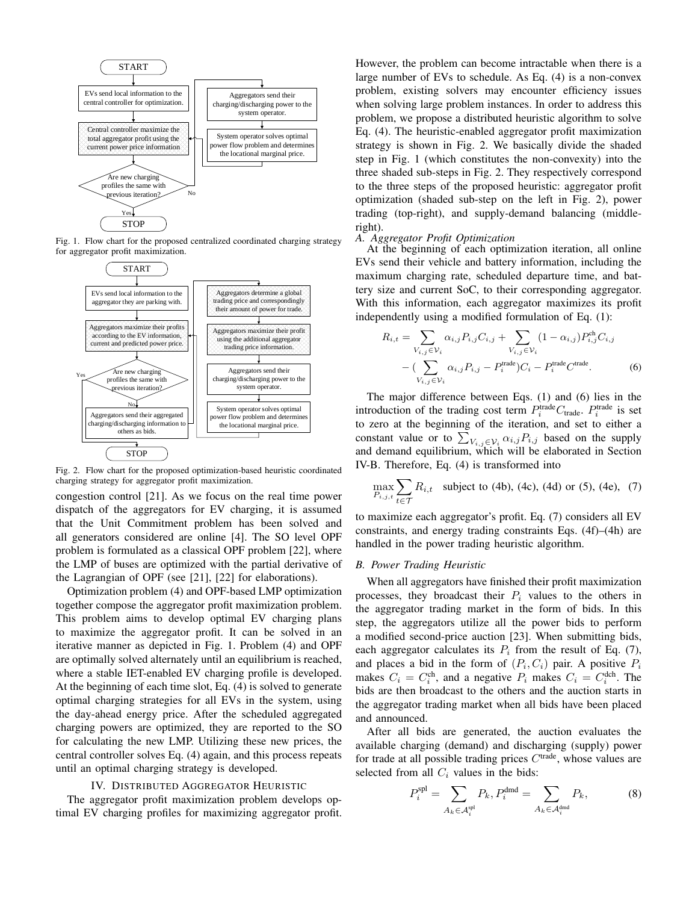

Fig. 1. Flow chart for the proposed centralized coordinated charging strategy for aggregator profit maximization.



Fig. 2. Flow chart for the proposed optimization-based heuristic coordinated charging strategy for aggregator profit maximization.

congestion control [21]. As we focus on the real time power dispatch of the aggregators for EV charging, it is assumed that the Unit Commitment problem has been solved and all generators considered are online [4]. The SO level OPF problem is formulated as a classical OPF problem [22], where the LMP of buses are optimized with the partial derivative of the Lagrangian of OPF (see [21], [22] for elaborations).

Optimization problem (4) and OPF-based LMP optimization together compose the aggregator profit maximization problem. This problem aims to develop optimal EV charging plans to maximize the aggregator profit. It can be solved in an iterative manner as depicted in Fig. 1. Problem (4) and OPF are optimally solved alternately until an equilibrium is reached, where a stable IET-enabled EV charging profile is developed. At the beginning of each time slot, Eq. (4) is solved to generate optimal charging strategies for all EVs in the system, using the day-ahead energy price. After the scheduled aggregated charging powers are optimized, they are reported to the SO for calculating the new LMP. Utilizing these new prices, the central controller solves Eq. (4) again, and this process repeats until an optimal charging strategy is developed.

## IV. DISTRIBUTED AGGREGATOR HEURISTIC

The aggregator profit maximization problem develops optimal EV charging profiles for maximizing aggregator profit.

However, the problem can become intractable when there is a large number of EVs to schedule. As Eq. (4) is a non-convex problem, existing solvers may encounter efficiency issues when solving large problem instances. In order to address this problem, we propose a distributed heuristic algorithm to solve Eq. (4). The heuristic-enabled aggregator profit maximization strategy is shown in Fig. 2. We basically divide the shaded step in Fig. 1 (which constitutes the non-convexity) into the three shaded sub-steps in Fig. 2. They respectively correspond to the three steps of the proposed heuristic: aggregator profit optimization (shaded sub-step on the left in Fig. 2), power trading (top-right), and supply-demand balancing (middleright).

# *A. Aggregator Profit Optimization*

At the beginning of each optimization iteration, all online EVs send their vehicle and battery information, including the maximum charging rate, scheduled departure time, and battery size and current SoC, to their corresponding aggregator. With this information, each aggregator maximizes its profit independently using a modified formulation of Eq. (1):

$$
R_{i,t} = \sum_{V_{i,j} \in \mathcal{V}_i} \alpha_{i,j} P_{i,j} C_{i,j} + \sum_{V_{i,j} \in \mathcal{V}_i} (1 - \alpha_{i,j}) P_{i,j}^{\text{ch}} C_{i,j} - (\sum_{V_{i,j} \in \mathcal{V}_i} \alpha_{i,j} P_{i,j} - P_i^{\text{trade}}) C_i - P_i^{\text{trade}} C^{\text{trade}}.
$$
 (6)

The major difference between Eqs. (1) and (6) lies in the introduction of the trading cost term  $P_i^{\text{trade}}C_{\text{trade}}$ .  $P_i^{\text{trade}}$  is set to zero at the beginning of the iteration, and set to either a constant value or to  $\sum_{V_{i,j} \in \mathcal{V}_i} \alpha_{i,j} P_{i,j}$  based on the supply and demand equilibrium, which will be elaborated in Section IV-B. Therefore, Eq. (4) is transformed into

$$
\max_{P_{i,j,t}} \sum_{t \in \mathcal{T}} R_{i,t} \text{ subject to (4b), (4c), (4d) or (5), (4e), (7)}
$$

to maximize each aggregator's profit. Eq. (7) considers all EV constraints, and energy trading constraints Eqs. (4f)–(4h) are handled in the power trading heuristic algorithm.

#### *B. Power Trading Heuristic*

When all aggregators have finished their profit maximization processes, they broadcast their  $P_i$  values to the others in the aggregator trading market in the form of bids. In this step, the aggregators utilize all the power bids to perform a modified second-price auction [23]. When submitting bids, each aggregator calculates its  $P_i$  from the result of Eq. (7), and places a bid in the form of  $(P_i, C_i)$  pair. A positive  $P_i$ makes  $C_i = C_i^{\text{ch}}$ , and a negative  $P_i$  makes  $C_i = C_i^{\text{dch}}$ . The bids are then broadcast to the others and the auction starts in the aggregator trading market when all bids have been placed and announced.

After all bids are generated, the auction evaluates the available charging (demand) and discharging (supply) power for trade at all possible trading prices  $C<sup>trade</sup>$ , whose values are selected from all  $C_i$  values in the bids:

$$
P_i^{\text{spl}} = \sum_{A_k \in \mathcal{A}_i^{\text{spl}}} P_k, P_i^{\text{dmd}} = \sum_{A_k \in \mathcal{A}_i^{\text{dmd}}} P_k,\tag{8}
$$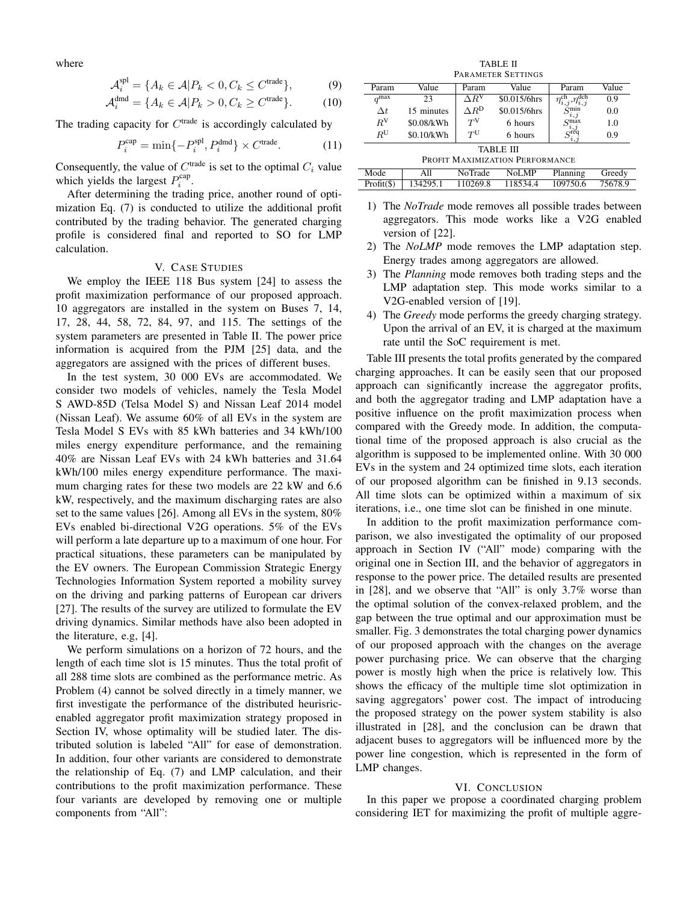where

$$
\mathcal{A}_i^{\text{spl}} = \{ A_k \in \mathcal{A} | P_k < 0, C_k \le C^{\text{trade}} \},\tag{9}
$$

$$
\mathcal{A}_i^{\text{dmd}} = \{ A_k \in \mathcal{A} | P_k > 0, C_k \ge C^{\text{trade}} \}.
$$
 (10)

The trading capacity for  $C^{trade}$  is accordingly calculated by

$$
P_i^{\text{cap}} = \min\{-P_i^{\text{spl}}, P_i^{\text{dmd}}\} \times C^{\text{trade}}.\tag{11}
$$

Consequently, the value of  $C^{trade}$  is set to the optimal  $C_i$  value which yields the largest  $P_i^{\text{cap}}$ .

After determining the trading price, another round of optimization Eq. (7) is conducted to utilize the additional profit contributed by the trading behavior. The generated charging profile is considered final and reported to SO for LMP calculation.

#### V. CASE STUDIES

We employ the IEEE 118 Bus system [24] to assess the profit maximization performance of our proposed approach. 10 aggregators are installed in the system on Buses 7, 14, 17, 28, 44, 58, 72, 84, 97, and 115. The settings of the system parameters are presented in Table II. The power price information is acquired from the PJM [25] data, and the aggregators are assigned with the prices of different buses.

In the test system, 30 000 EVs are accommodated. We consider two models of vehicles, namely the Tesla Model S AWD-85D (Telsa Model S) and Nissan Leaf 2014 model (Nissan Leaf). We assume 60% of all EVs in the system are Tesla Model S EVs with 85 kWh batteries and 34 kWh/100 miles energy expenditure performance, and the remaining 40% are Nissan Leaf EVs with 24 kWh batteries and 31.64 kWh/100 miles energy expenditure performance. The maximum charging rates for these two models are 22 kW and 6.6 kW, respectively, and the maximum discharging rates are also set to the same values [26]. Among all EVs in the system, 80% EVs enabled bi-directional V2G operations. 5% of the EVs will perform a late departure up to a maximum of one hour. For practical situations, these parameters can be manipulated by the EV owners. The European Commission Strategic Energy Technologies Information System reported a mobility survey on the driving and parking patterns of European car drivers [27]. The results of the survey are utilized to formulate the EV driving dynamics. Similar methods have also been adopted in the literature, e.g, [4].

We perform simulations on a horizon of 72 hours, and the length of each time slot is 15 minutes. Thus the total profit of all 288 time slots are combined as the performance metric. As Problem (4) cannot be solved directly in a timely manner, we first investigate the performance of the distributed heurisricenabled aggregator profit maximization strategy proposed in Section IV, whose optimality will be studied later. The distributed solution is labeled "All" for ease of demonstration. In addition, four other variants are considered to demonstrate the relationship of Eq. (7) and LMP calculation, and their contributions to the profit maximization performance. These four variants are developed by removing one or multiple components from "All":

TABLE II PARAMETER SETTINGS

| <b>FAKAMELEK ƏLILIND</b>        |            |                                    |              |                      |         |  |  |  |
|---------------------------------|------------|------------------------------------|--------------|----------------------|---------|--|--|--|
| Param                           | Value      | Value<br>Param                     |              | Param                | Value   |  |  |  |
| $q^{\max}$                      | 23         | $\Delta R^{\rm V}$<br>\$0.015/6hrs |              | .dch<br>$\eta_{i,j}$ | 0.9     |  |  |  |
| $\Delta t$                      | 15 minutes | $\Delta R^{\mathrm{D}}$            | \$0.015/6hrs | $S_{i,j}^{\min}$     | 0.0     |  |  |  |
| $R^V$                           | \$0.08/kWh | $T^V$                              | 6 hours      | S <sub>max</sub>     | 1.0     |  |  |  |
| $R^{\rm U}$                     | \$0.10/kWh | $T^{U}$                            | 6 hours      | $\zeta^{i,j}$<br>i.1 | 0.9     |  |  |  |
| TABLE III                       |            |                                    |              |                      |         |  |  |  |
| PROFIT MAXIMIZATION PERFORMANCE |            |                                    |              |                      |         |  |  |  |
| Mode                            | All        | NoTrade                            | NoLMP        | Planning             | Greedy  |  |  |  |
| $Profit(\$))$                   | 134295.1   | 110269.8                           | 118534.4     | 109750.6             | 75678.9 |  |  |  |

- 1) The *NoTrade* mode removes all possible trades between aggregators. This mode works like a V2G enabled version of [22].
- 2) The *NoLMP* mode removes the LMP adaptation step. Energy trades among aggregators are allowed.
- 3) The *Planning* mode removes both trading steps and the LMP adaptation step. This mode works similar to a V2G-enabled version of [19].
- 4) The *Greedy* mode performs the greedy charging strategy. Upon the arrival of an EV, it is charged at the maximum rate until the SoC requirement is met.

Table III presents the total profits generated by the compared charging approaches. It can be easily seen that our proposed approach can significantly increase the aggregator profits, and both the aggregator trading and LMP adaptation have a positive influence on the profit maximization process when compared with the Greedy mode. In addition, the computational time of the proposed approach is also crucial as the algorithm is supposed to be implemented online. With 30 000 EVs in the system and 24 optimized time slots, each iteration of our proposed algorithm can be finished in 9.13 seconds. All time slots can be optimized within a maximum of six iterations, i.e., one time slot can be finished in one minute.

In addition to the profit maximization performance comparison, we also investigated the optimality of our proposed approach in Section IV ("All" mode) comparing with the original one in Section III, and the behavior of aggregators in response to the power price. The detailed results are presented in [28], and we observe that "All" is only 3.7% worse than the optimal solution of the convex-relaxed problem, and the gap between the true optimal and our approximation must be smaller. Fig. 3 demonstrates the total charging power dynamics of our proposed approach with the changes on the average power purchasing price. We can observe that the charging power is mostly high when the price is relatively low. This shows the efficacy of the multiple time slot optimization in saving aggregators' power cost. The impact of introducing the proposed strategy on the power system stability is also illustrated in [28], and the conclusion can be drawn that adjacent buses to aggregators will be influenced more by the power line congestion, which is represented in the form of LMP changes.

#### VI. CONCLUSION

In this paper we propose a coordinated charging problem considering IET for maximizing the profit of multiple aggre-